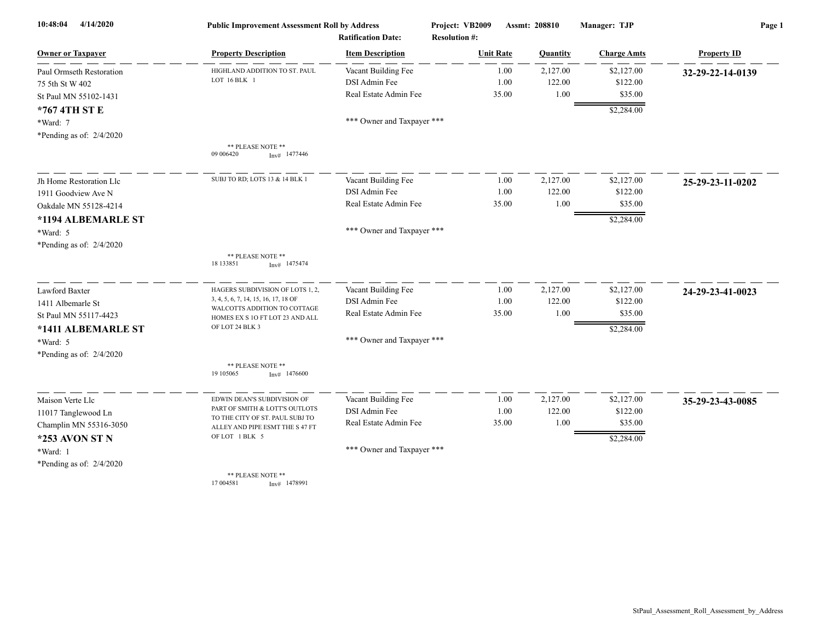| 4/14/2020<br>10:48:04      | <b>Public Improvement Assessment Roll by Address</b>               |                            | Project: VB2009      | Assmt: 208810 | Manager: TJP       | Page 1             |  |
|----------------------------|--------------------------------------------------------------------|----------------------------|----------------------|---------------|--------------------|--------------------|--|
|                            | <b>Ratification Date:</b>                                          |                            | <b>Resolution #:</b> |               |                    |                    |  |
| <b>Owner or Taxpayer</b>   | <b>Property Description</b>                                        | <b>Item Description</b>    | <b>Unit Rate</b>     | Quantity      | <b>Charge Amts</b> | <b>Property ID</b> |  |
| Paul Ormseth Restoration   | HIGHLAND ADDITION TO ST. PAUL                                      | Vacant Building Fee        | 1.00                 | 2,127.00      | \$2,127.00         | 32-29-22-14-0139   |  |
| 75 5th St W 402            | LOT 16 BLK 1                                                       | DSI Admin Fee              | 1.00                 | 122.00        | \$122.00           |                    |  |
| St Paul MN 55102-1431      |                                                                    | Real Estate Admin Fee      | 35.00                |               | 1.00<br>\$35.00    |                    |  |
| *767 4TH ST E              |                                                                    |                            |                      |               | \$2,284.00         |                    |  |
| *Ward: 7                   |                                                                    | *** Owner and Taxpayer *** |                      |               |                    |                    |  |
| *Pending as of: $2/4/2020$ |                                                                    |                            |                      |               |                    |                    |  |
|                            | ** PLEASE NOTE **<br>09 00 6420<br>$Inv#$ 1477446                  |                            |                      |               |                    |                    |  |
| Jh Home Restoration Llc    | SUBJ TO RD; LOTS 13 & 14 BLK 1                                     | Vacant Building Fee        | 1.00                 | 2,127.00      | \$2,127.00         | 25-29-23-11-0202   |  |
| 1911 Goodview Ave N        |                                                                    | DSI Admin Fee              | 1.00                 | 122.00        | \$122.00           |                    |  |
| Oakdale MN 55128-4214      |                                                                    | Real Estate Admin Fee      | 35.00                |               | 1.00<br>\$35.00    |                    |  |
| *1194 ALBEMARLE ST         |                                                                    |                            |                      |               | \$2,284.00         |                    |  |
| *Ward: 5                   |                                                                    | *** Owner and Taxpayer *** |                      |               |                    |                    |  |
| *Pending as of: $2/4/2020$ |                                                                    |                            |                      |               |                    |                    |  |
|                            | ** PLEASE NOTE **<br>18 133851<br>$Inv#$ 1475474                   |                            |                      |               |                    |                    |  |
| <b>Lawford Baxter</b>      | HAGERS SUBDIVISION OF LOTS 1, 2,                                   | Vacant Building Fee        | 1.00                 | 2,127.00      | \$2,127.00         | 24-29-23-41-0023   |  |
| 1411 Albemarle St          | 3, 4, 5, 6, 7, 14, 15, 16, 17, 18 OF                               | DSI Admin Fee              | 1.00                 | 122.00        | \$122.00           |                    |  |
| St Paul MN 55117-4423      | WALCOTTS ADDITION TO COTTAGE<br>HOMES EX S 10 FT LOT 23 AND ALL    | Real Estate Admin Fee      | 35.00                |               | 1.00<br>\$35.00    |                    |  |
| *1411 ALBEMARLE ST         | OF LOT 24 BLK 3                                                    |                            |                      |               | \$2,284.00         |                    |  |
| *Ward: 5                   |                                                                    | *** Owner and Taxpayer *** |                      |               |                    |                    |  |
| *Pending as of: $2/4/2020$ |                                                                    |                            |                      |               |                    |                    |  |
|                            | ** PLEASE NOTE **                                                  |                            |                      |               |                    |                    |  |
|                            | 19 10 50 65<br>Inv# 1476600                                        |                            |                      |               |                    |                    |  |
| Maison Verte Llc           | EDWIN DEAN'S SUBDIVISION OF                                        | Vacant Building Fee        | 1.00                 | 2,127.00      | \$2,127.00         | 35-29-23-43-0085   |  |
| 11017 Tanglewood Ln        | PART OF SMITH & LOTT'S OUTLOTS                                     | DSI Admin Fee              | 1.00                 | 122.00        | \$122.00           |                    |  |
| Champlin MN 55316-3050     | TO THE CITY OF ST. PAUL SUBJ TO<br>ALLEY AND PIPE ESMT THE S 47 FT | Real Estate Admin Fee      | 35.00                |               | 1.00<br>\$35.00    |                    |  |
| *253 AVON ST N             | OF LOT 1 BLK 5                                                     |                            |                      |               | \$2,284.00         |                    |  |
| *Ward: 1                   |                                                                    | *** Owner and Taxpayer *** |                      |               |                    |                    |  |
| *Pending as of: $2/4/2020$ |                                                                    |                            |                      |               |                    |                    |  |
|                            | ** PLEASE NOTE **                                                  |                            |                      |               |                    |                    |  |
|                            | 17 004581<br>$Inv#$ 1478991                                        |                            |                      |               |                    |                    |  |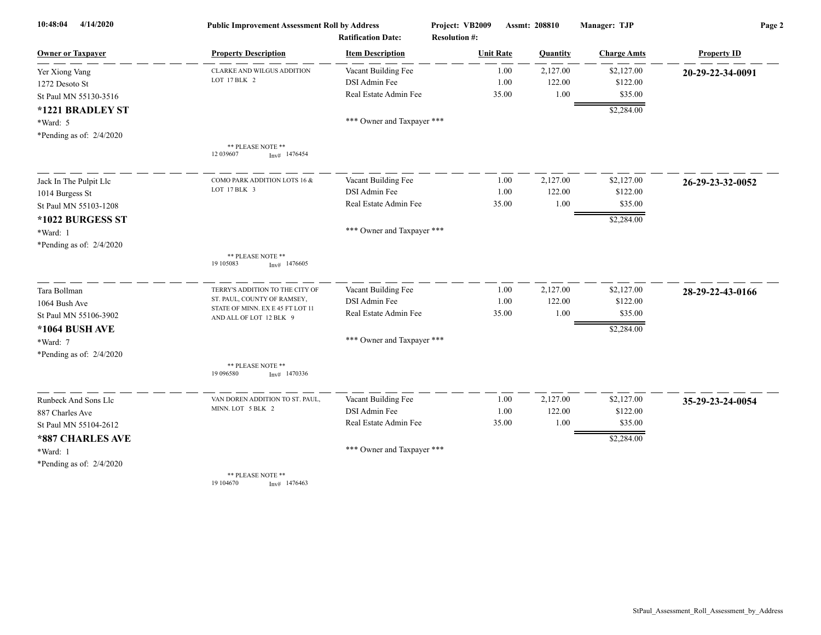| 4/14/2020<br>10:48:04      | <b>Public Improvement Assessment Roll by Address</b>        |                            | Project: VB2009      | Assmt: 208810 | Manager: TJP       | Page 2             |  |
|----------------------------|-------------------------------------------------------------|----------------------------|----------------------|---------------|--------------------|--------------------|--|
|                            |                                                             | <b>Ratification Date:</b>  | <b>Resolution #:</b> |               |                    |                    |  |
| <b>Owner or Taxpayer</b>   | <b>Property Description</b>                                 | <b>Item Description</b>    | <b>Unit Rate</b>     | Quantity      | <b>Charge Amts</b> | <b>Property ID</b> |  |
| Yer Xiong Vang             | <b>CLARKE AND WILGUS ADDITION</b>                           | Vacant Building Fee        | 1.00                 | 2,127.00      | \$2,127.00         | 20-29-22-34-0091   |  |
| 1272 Desoto St             | LOT 17 BLK 2                                                | DSI Admin Fee              | 1.00                 | 122.00        | \$122.00           |                    |  |
| St Paul MN 55130-3516      |                                                             | Real Estate Admin Fee      | 35.00                | $1.00\,$      | \$35.00            |                    |  |
| *1221 BRADLEY ST           |                                                             |                            |                      |               | \$2,284.00         |                    |  |
| *Ward: 5                   |                                                             | *** Owner and Taxpayer *** |                      |               |                    |                    |  |
| *Pending as of: $2/4/2020$ |                                                             |                            |                      |               |                    |                    |  |
|                            | ** PLEASE NOTE **<br>12 039607<br>$Inv#$ 1476454            |                            |                      |               |                    |                    |  |
| Jack In The Pulpit Llc     | COMO PARK ADDITION LOTS 16 &                                | Vacant Building Fee        | 1.00                 | 2,127.00      | \$2,127.00         | 26-29-23-32-0052   |  |
| 1014 Burgess St            | LOT 17 BLK 3                                                | DSI Admin Fee              | 1.00                 | 122.00        | \$122.00           |                    |  |
| St Paul MN 55103-1208      |                                                             | Real Estate Admin Fee      | 35.00                | 1.00          | \$35.00            |                    |  |
| *1022 BURGESS ST           |                                                             |                            |                      |               | \$2,284.00         |                    |  |
| *Ward: 1                   |                                                             | *** Owner and Taxpayer *** |                      |               |                    |                    |  |
| *Pending as of: $2/4/2020$ |                                                             |                            |                      |               |                    |                    |  |
|                            | ** PLEASE NOTE **<br>19 10 50 83<br>$Inv#$ 1476605          |                            |                      |               |                    |                    |  |
| Tara Bollman               | TERRY'S ADDITION TO THE CITY OF                             | Vacant Building Fee        | 1.00                 | 2,127.00      | \$2,127.00         | 28-29-22-43-0166   |  |
| 1064 Bush Ave              | ST. PAUL, COUNTY OF RAMSEY,                                 | DSI Admin Fee              | 1.00                 | 122.00        | \$122.00           |                    |  |
| St Paul MN 55106-3902      | STATE OF MINN. EX E 45 FT LOT 11<br>AND ALL OF LOT 12 BLK 9 | Real Estate Admin Fee      | 35.00                | 1.00          | \$35.00            |                    |  |
| *1064 BUSH AVE             |                                                             |                            |                      |               | \$2,284.00         |                    |  |
| *Ward: 7                   |                                                             | *** Owner and Taxpayer *** |                      |               |                    |                    |  |
| *Pending as of: $2/4/2020$ |                                                             |                            |                      |               |                    |                    |  |
|                            | ** PLEASE NOTE **<br>19 09 6580<br>$Inv#$ 1470336           |                            |                      |               |                    |                    |  |
| Runbeck And Sons Llc       | VAN DOREN ADDITION TO ST. PAUL,                             | Vacant Building Fee        | 1.00                 | 2,127.00      | \$2,127.00         | 35-29-23-24-0054   |  |
| 887 Charles Ave            | MINN. LOT 5 BLK 2                                           | DSI Admin Fee              | 1.00                 | 122.00        | \$122.00           |                    |  |
| St Paul MN 55104-2612      |                                                             | Real Estate Admin Fee      | 35.00                | 1.00          | \$35.00            |                    |  |
| *887 CHARLES AVE           |                                                             |                            |                      |               | \$2,284.00         |                    |  |
| *Ward: 1                   |                                                             | *** Owner and Taxpayer *** |                      |               |                    |                    |  |
| *Pending as of: $2/4/2020$ |                                                             |                            |                      |               |                    |                    |  |
|                            | ** PLEASE NOTE **                                           |                            |                      |               |                    |                    |  |
|                            | 19 104670<br>Inv# 1476463                                   |                            |                      |               |                    |                    |  |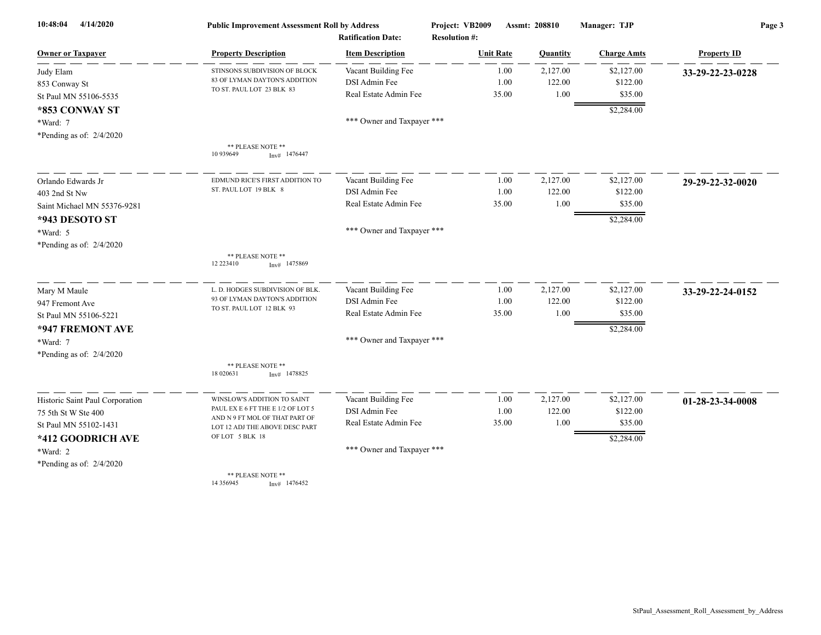| 4/14/2020<br>10:48:04           | <b>Public Improvement Assessment Roll by Address</b><br><b>Ratification Date:</b> |                            | Project: VB2009      | Assmt: 208810 | Manager: TJP       | Page 3             |  |
|---------------------------------|-----------------------------------------------------------------------------------|----------------------------|----------------------|---------------|--------------------|--------------------|--|
|                                 |                                                                                   |                            | <b>Resolution #:</b> |               |                    |                    |  |
| <b>Owner or Taxpayer</b>        | <b>Property Description</b>                                                       | <b>Item Description</b>    | <b>Unit Rate</b>     | Quantity      | <b>Charge Amts</b> | <b>Property ID</b> |  |
| Judy Elam                       | STINSONS SUBDIVISION OF BLOCK                                                     | Vacant Building Fee        | 1.00                 | 2,127.00      | \$2,127.00         | 33-29-22-23-0228   |  |
| 853 Conway St                   | 83 OF LYMAN DAYTON'S ADDITION<br>TO ST. PAUL LOT 23 BLK 83                        | DSI Admin Fee              | 1.00                 | 122.00        | \$122.00           |                    |  |
| St Paul MN 55106-5535           |                                                                                   | Real Estate Admin Fee      | 35.00                | 1.00          | \$35.00            |                    |  |
| *853 CONWAY ST                  |                                                                                   |                            |                      |               | \$2,284.00         |                    |  |
| *Ward: 7                        |                                                                                   | *** Owner and Taxpayer *** |                      |               |                    |                    |  |
| *Pending as of: 2/4/2020        |                                                                                   |                            |                      |               |                    |                    |  |
|                                 | ** PLEASE NOTE **<br>10 939649<br>$Inv#$ 1476447                                  |                            |                      |               |                    |                    |  |
| Orlando Edwards Jr              | EDMUND RICE'S FIRST ADDITION TO                                                   | Vacant Building Fee        | 1.00                 | 2,127.00      | \$2,127.00         | 29-29-22-32-0020   |  |
| 403 2nd St Nw                   | ST. PAUL LOT 19 BLK 8                                                             | DSI Admin Fee              | 1.00                 | 122.00        | \$122.00           |                    |  |
| Saint Michael MN 55376-9281     |                                                                                   | Real Estate Admin Fee      | 35.00                | 1.00          | \$35.00            |                    |  |
| *943 DESOTO ST                  |                                                                                   |                            |                      |               | \$2,284.00         |                    |  |
| *Ward: 5                        |                                                                                   | *** Owner and Taxpayer *** |                      |               |                    |                    |  |
| *Pending as of: $2/4/2020$      |                                                                                   |                            |                      |               |                    |                    |  |
|                                 | ** PLEASE NOTE **<br>12 223410<br>$Inv#$ 1475869                                  |                            |                      |               |                    |                    |  |
| Mary M Maule                    | L. D. HODGES SUBDIVISION OF BLK.                                                  | Vacant Building Fee        | 1.00                 | 2,127.00      | \$2,127.00         | 33-29-22-24-0152   |  |
| 947 Fremont Ave                 | 93 OF LYMAN DAYTON'S ADDITION                                                     | DSI Admin Fee              | 1.00                 | 122.00        | \$122.00           |                    |  |
| St Paul MN 55106-5221           | TO ST. PAUL LOT 12 BLK 93                                                         | Real Estate Admin Fee      | 35.00                | 1.00          | \$35.00            |                    |  |
| *947 FREMONT AVE                |                                                                                   |                            |                      |               | \$2,284.00         |                    |  |
| *Ward: 7                        |                                                                                   | *** Owner and Taxpayer *** |                      |               |                    |                    |  |
| *Pending as of: 2/4/2020        |                                                                                   |                            |                      |               |                    |                    |  |
|                                 | ** PLEASE NOTE **<br>18 020631<br>$Inv#$ 1478825                                  |                            |                      |               |                    |                    |  |
| Historic Saint Paul Corporation | WINSLOW'S ADDITION TO SAINT                                                       | Vacant Building Fee        | 1.00                 | 2,127.00      | \$2,127.00         | 01-28-23-34-0008   |  |
| 75 5th St W Ste 400             | PAUL EX E 6 FT THE E 1/2 OF LOT 5                                                 | DSI Admin Fee              | 1.00                 | 122.00        | \$122.00           |                    |  |
| St Paul MN 55102-1431           | AND N 9 FT MOL OF THAT PART OF<br>LOT 12 ADJ THE ABOVE DESC PART                  | Real Estate Admin Fee      | 35.00                | 1.00          | \$35.00            |                    |  |
| *412 GOODRICH AVE               | OF LOT 5 BLK 18                                                                   |                            |                      |               | \$2,284.00         |                    |  |
| *Ward: 2                        |                                                                                   | *** Owner and Taxpayer *** |                      |               |                    |                    |  |
| *Pending as of: 2/4/2020        |                                                                                   |                            |                      |               |                    |                    |  |
|                                 | ** PLEASE NOTE **<br>14 3 5 6 9 4 5<br>$Inv#$ 1476452                             |                            |                      |               |                    |                    |  |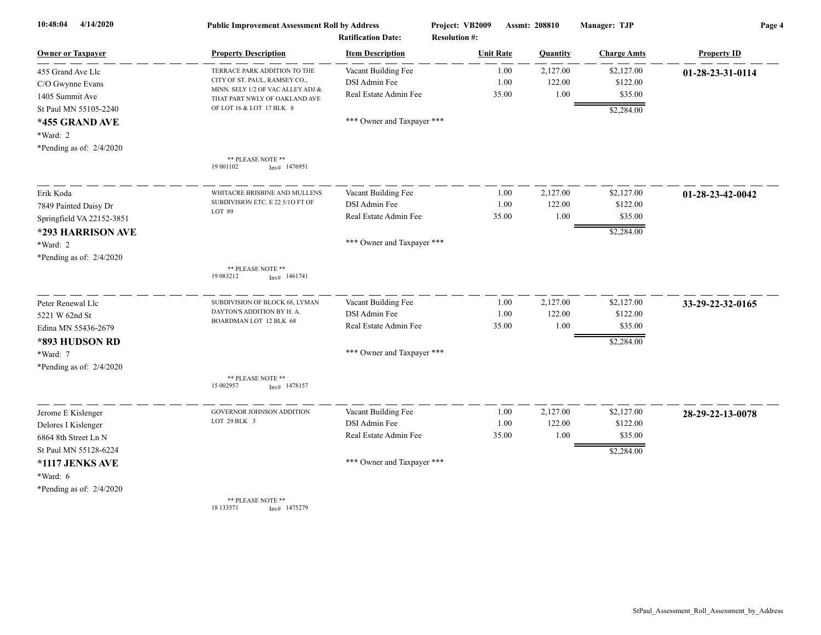| 10:48:04<br>4/14/2020      | <b>Public Improvement Assessment Roll by Address</b><br><b>Ratification Date:</b> |                            | Project: VB2009<br><b>Resolution #:</b> | Assmt: 208810 |          | Manager: TJP       | Page 4             |  |
|----------------------------|-----------------------------------------------------------------------------------|----------------------------|-----------------------------------------|---------------|----------|--------------------|--------------------|--|
| Owner or Taxpaver          | <b>Property Description</b>                                                       | <b>Item Description</b>    | <b>Unit Rate</b>                        |               | Quantity | <b>Charge Amts</b> | <b>Property ID</b> |  |
| 455 Grand Ave Llc          | TERRACE PARK ADDITION TO THE                                                      | Vacant Building Fee        |                                         | 1.00          | 2,127.00 | \$2,127.00         | 01-28-23-31-0114   |  |
| C/O Gwynne Evans           | CITY OF ST. PAUL, RAMSEY CO.,<br>MINN. SELY 1/2 OF VAC ALLEY ADJ &                | DSI Admin Fee              |                                         | 1.00          | 122.00   | \$122.00           |                    |  |
| 1405 Summit Ave            | THAT PART NWLY OF OAKLAND AVE                                                     | Real Estate Admin Fee      |                                         | 35.00         | 1.00     | \$35.00            |                    |  |
| St Paul MN 55105-2240      | OF LOT 16 & LOT 17 BLK 8                                                          |                            |                                         |               |          | \$2,284.00         |                    |  |
| *455 GRAND AVE             |                                                                                   | *** Owner and Taxpayer *** |                                         |               |          |                    |                    |  |
| *Ward: 2                   |                                                                                   |                            |                                         |               |          |                    |                    |  |
| *Pending as of: $2/4/2020$ |                                                                                   |                            |                                         |               |          |                    |                    |  |
|                            | ** PLEASE NOTE **<br>19 001102<br>$Inv#$ 1476951                                  |                            |                                         |               |          |                    |                    |  |
| Erik Koda                  | WHITACRE BRISBINE AND MULLENS                                                     | Vacant Building Fee        |                                         | 1.00          | 2,127.00 | \$2,127.00         | 01-28-23-42-0042   |  |
| 7849 Painted Daisy Dr      | SUBDIVISION ETC. E 22 5/10 FT OF                                                  | DSI Admin Fee              |                                         | 1.00          | 122.00   | \$122.00           |                    |  |
| Springfield VA 22152-3851  | LOT 89                                                                            | Real Estate Admin Fee      |                                         | 35.00         | 1.00     | \$35.00            |                    |  |
| *293 HARRISON AVE          |                                                                                   |                            |                                         |               |          | \$2,284.00         |                    |  |
| $*Ward: 2$                 |                                                                                   | *** Owner and Taxpayer *** |                                         |               |          |                    |                    |  |
| *Pending as of: 2/4/2020   |                                                                                   |                            |                                         |               |          |                    |                    |  |
|                            | ** PLEASE NOTE **<br>19 083212<br>$Inv#$ 1461741                                  |                            |                                         |               |          |                    |                    |  |
| Peter Renewal Llc          | SUBDIVISION OF BLOCK 68, LYMAN                                                    | Vacant Building Fee        |                                         | 1.00          | 2,127.00 | \$2,127.00         | 33-29-22-32-0165   |  |
| 5221 W 62nd St             | DAYTON'S ADDITION BY H. A.<br>BOARDMAN LOT 12 BLK 68                              | DSI Admin Fee              |                                         | 1.00          | 122.00   | \$122.00           |                    |  |
| Edina MN 55436-2679        |                                                                                   | Real Estate Admin Fee      |                                         | 35.00         | 1.00     | \$35.00            |                    |  |
| *893 HUDSON RD             |                                                                                   |                            |                                         |               |          | \$2,284.00         |                    |  |
| *Ward: 7                   |                                                                                   | *** Owner and Taxpayer *** |                                         |               |          |                    |                    |  |
| *Pending as of: $2/4/2020$ |                                                                                   |                            |                                         |               |          |                    |                    |  |
|                            | ** PLEASE NOTE **<br>15 002957<br>1478157<br>Inv#                                 |                            |                                         |               |          |                    |                    |  |
| Jerome E Kislenger         | GOVERNOR JOHNSON ADDITION                                                         | Vacant Building Fee        |                                         | 1.00          | 2,127.00 | \$2,127.00         | 28-29-22-13-0078   |  |
| Delores I Kislenger        | LOT 29 BLK 3                                                                      | DSI Admin Fee              |                                         | 1.00          | 122.00   | \$122.00           |                    |  |
| 6864 8th Street Ln N       |                                                                                   | Real Estate Admin Fee      |                                         | 35.00         | 1.00     | \$35.00            |                    |  |
| St Paul MN 55128-6224      |                                                                                   |                            |                                         |               |          | \$2,284.00         |                    |  |
| *1117 JENKS AVE            |                                                                                   | *** Owner and Taxpayer *** |                                         |               |          |                    |                    |  |
| *Ward: 6                   |                                                                                   |                            |                                         |               |          |                    |                    |  |
| *Pending as of: $2/4/2020$ |                                                                                   |                            |                                         |               |          |                    |                    |  |
|                            | ** PLEASE NOTE **                                                                 |                            |                                         |               |          |                    |                    |  |

18 133571 Inv# 1475279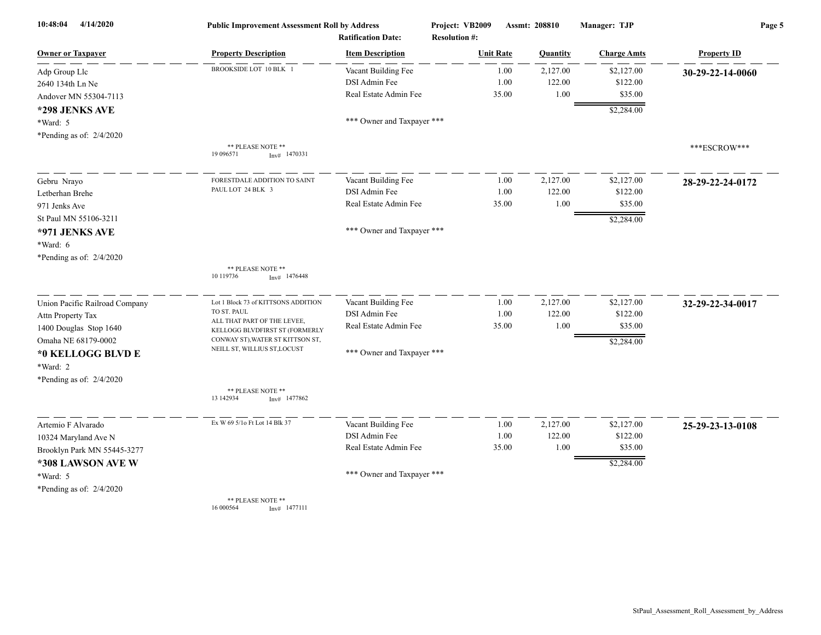| 10:48:04<br>4/14/2020          | <b>Public Improvement Assessment Roll by Address</b><br><b>Ratification Date:</b> |                            | Project: VB2009<br><b>Resolution #:</b> | Assmt: 208810 | Manager: TJP       | Page 5             |  |
|--------------------------------|-----------------------------------------------------------------------------------|----------------------------|-----------------------------------------|---------------|--------------------|--------------------|--|
| <b>Owner or Taxpayer</b>       | <b>Property Description</b>                                                       | <b>Item Description</b>    | <b>Unit Rate</b>                        | Quantity      | <b>Charge Amts</b> | <b>Property ID</b> |  |
| Adp Group Llc                  | BROOKSIDE LOT 10 BLK 1                                                            | Vacant Building Fee        | 1.00                                    | 2,127.00      | \$2,127.00         | 30-29-22-14-0060   |  |
| 2640 134th Ln Ne               |                                                                                   | DSI Admin Fee              | 1.00                                    | 122.00        | \$122.00           |                    |  |
| Andover MN 55304-7113          |                                                                                   | Real Estate Admin Fee      | 35.00                                   | 1.00          | \$35.00            |                    |  |
| *298 JENKS AVE                 |                                                                                   |                            |                                         |               | \$2,284.00         |                    |  |
| *Ward: 5                       |                                                                                   | *** Owner and Taxpayer *** |                                         |               |                    |                    |  |
| *Pending as of: $2/4/2020$     |                                                                                   |                            |                                         |               |                    |                    |  |
|                                | ** PLEASE NOTE **<br>19 09 6571<br>$Inv#$ 1470331                                 |                            |                                         |               |                    | ***ESCROW***       |  |
| Gebru Nrayo                    | FORESTDALE ADDITION TO SAINT                                                      | Vacant Building Fee        | 1.00                                    | 2,127.00      | \$2,127.00         | 28-29-22-24-0172   |  |
| Letberhan Brehe                | PAUL LOT 24 BLK 3                                                                 | DSI Admin Fee              | 1.00                                    | 122.00        | \$122.00           |                    |  |
| 971 Jenks Ave                  |                                                                                   | Real Estate Admin Fee      | 35.00                                   | 1.00          | \$35.00            |                    |  |
| St Paul MN 55106-3211          |                                                                                   |                            |                                         |               | \$2,284.00         |                    |  |
| *971 JENKS AVE                 |                                                                                   | *** Owner and Taxpayer *** |                                         |               |                    |                    |  |
| *Ward: 6                       |                                                                                   |                            |                                         |               |                    |                    |  |
| *Pending as of: 2/4/2020       |                                                                                   |                            |                                         |               |                    |                    |  |
|                                | ** PLEASE NOTE **<br>10 119736<br>$Inv#$ 1476448                                  |                            |                                         |               |                    |                    |  |
| Union Pacific Railroad Company | Lot 1 Block 73 of KITTSONS ADDITION                                               | Vacant Building Fee        | 1.00                                    | 2,127.00      | \$2,127.00         | 32-29-22-34-0017   |  |
| Attn Property Tax              | TO ST. PAUL<br>ALL THAT PART OF THE LEVEE,                                        | DSI Admin Fee              | 1.00                                    | 122.00        | \$122.00           |                    |  |
| 1400 Douglas Stop 1640         | KELLOGG BLVDFIRST ST (FORMERLY                                                    | Real Estate Admin Fee      | 35.00                                   | 1.00          | \$35.00            |                    |  |
| Omaha NE 68179-0002            | CONWAY ST), WATER ST KITTSON ST,                                                  |                            |                                         |               | \$2,284.00         |                    |  |
| *0 KELLOGG BLVD E              | NEILL ST, WILLIUS ST, LOCUST                                                      | *** Owner and Taxpayer *** |                                         |               |                    |                    |  |
| *Ward: 2                       |                                                                                   |                            |                                         |               |                    |                    |  |
| *Pending as of: $2/4/2020$     |                                                                                   |                            |                                         |               |                    |                    |  |
|                                | ** PLEASE NOTE **<br>13 142934<br>$Inv#$ 1477862                                  |                            |                                         |               |                    |                    |  |
| Artemio F Alvarado             | Ex W 69 5/10 Ft Lot 14 Blk 37                                                     | Vacant Building Fee        | 1.00                                    | 2,127.00      | \$2,127.00         | 25-29-23-13-0108   |  |
| 10324 Maryland Ave N           |                                                                                   | DSI Admin Fee              | 1.00                                    | 122.00        | \$122.00           |                    |  |
| Brooklyn Park MN 55445-3277    |                                                                                   | Real Estate Admin Fee      | 35.00                                   | 1.00          | \$35.00            |                    |  |
| *308 LAWSON AVE W              |                                                                                   |                            |                                         |               | \$2,284.00         |                    |  |
| *Ward: 5                       |                                                                                   | *** Owner and Taxpayer *** |                                         |               |                    |                    |  |
| *Pending as of: 2/4/2020       |                                                                                   |                            |                                         |               |                    |                    |  |
|                                | <b>** PLEASE NOTE **</b>                                                          |                            |                                         |               |                    |                    |  |

\*\* PLEASE NOTE \*\* 16 000564 Inv# 1477111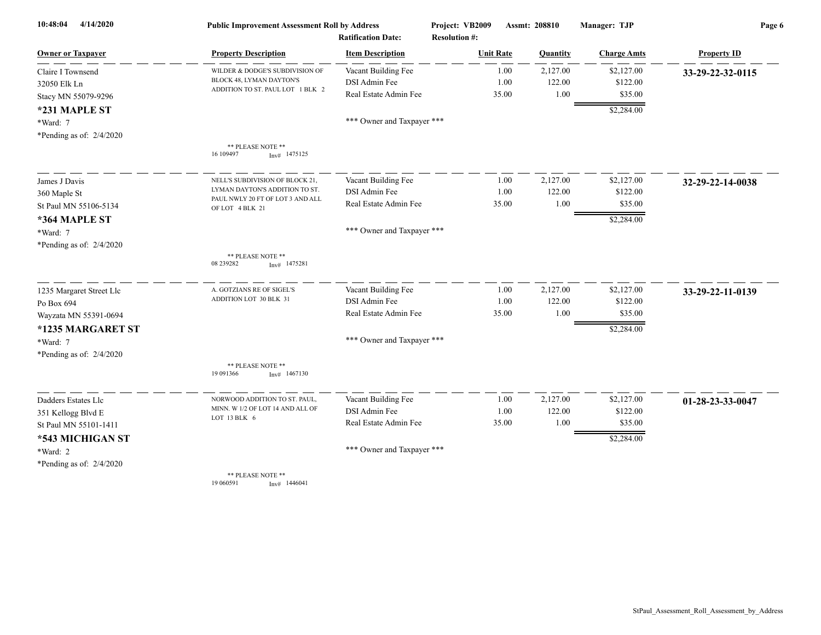| 4/14/2020<br>10:48:04      | <b>Public Improvement Assessment Roll by Address</b> |                            | Project: VB2009      | Assmt: 208810 | Manager: TJP       | Page 6             |  |
|----------------------------|------------------------------------------------------|----------------------------|----------------------|---------------|--------------------|--------------------|--|
|                            | <b>Ratification Date:</b>                            |                            | <b>Resolution #:</b> |               |                    |                    |  |
| <b>Owner or Taxpayer</b>   | <b>Property Description</b>                          | <b>Item Description</b>    | <b>Unit Rate</b>     | Quantity      | <b>Charge Amts</b> | <b>Property ID</b> |  |
| Claire I Townsend          | WILDER & DODGE'S SUBDIVISION OF                      | Vacant Building Fee        | 1.00                 | 2,127.00      | \$2,127.00         | 33-29-22-32-0115   |  |
| 32050 Elk Ln               | BLOCK 48, LYMAN DAYTON'S                             | DSI Admin Fee              | 1.00                 | 122.00        | \$122.00           |                    |  |
| Stacy MN 55079-9296        | ADDITION TO ST. PAUL LOT 1 BLK 2                     | Real Estate Admin Fee      | 35.00                | 1.00          | \$35.00            |                    |  |
| *231 MAPLE ST              |                                                      |                            |                      |               | \$2,284.00         |                    |  |
| *Ward: 7                   |                                                      | *** Owner and Taxpayer *** |                      |               |                    |                    |  |
| *Pending as of: $2/4/2020$ |                                                      |                            |                      |               |                    |                    |  |
|                            | ** PLEASE NOTE **<br>16 109497<br>$Inv#$ 1475125     |                            |                      |               |                    |                    |  |
| James J Davis              | NELL'S SUBDIVISION OF BLOCK 21.                      | Vacant Building Fee        | 1.00                 | 2,127.00      | \$2,127.00         | 32-29-22-14-0038   |  |
| 360 Maple St               | LYMAN DAYTON'S ADDITION TO ST.                       | DSI Admin Fee              | 1.00                 | 122.00        | \$122.00           |                    |  |
| St Paul MN 55106-5134      | PAUL NWLY 20 FT OF LOT 3 AND ALL<br>OF LOT 4 BLK 21  | Real Estate Admin Fee      | 35.00                | 1.00          | \$35.00            |                    |  |
| *364 MAPLE ST              |                                                      |                            |                      |               | \$2,284.00         |                    |  |
| *Ward: 7                   |                                                      | *** Owner and Taxpayer *** |                      |               |                    |                    |  |
| *Pending as of: $2/4/2020$ |                                                      |                            |                      |               |                    |                    |  |
|                            | ** PLEASE NOTE **<br>08 239282<br>$Inv#$ 1475281     |                            |                      |               |                    |                    |  |
| 1235 Margaret Street Llc   | A. GOTZIANS RE OF SIGEL'S                            | Vacant Building Fee        | 1.00                 | 2,127.00      | \$2,127.00         | 33-29-22-11-0139   |  |
| Po Box 694                 | ADDITION LOT 30 BLK 31                               | DSI Admin Fee              | 1.00                 | 122.00        | \$122.00           |                    |  |
| Wayzata MN 55391-0694      |                                                      | Real Estate Admin Fee      | 35.00                | 1.00          | \$35.00            |                    |  |
| *1235 MARGARET ST          |                                                      |                            |                      |               | \$2,284.00         |                    |  |
| *Ward: 7                   |                                                      | *** Owner and Taxpayer *** |                      |               |                    |                    |  |
| *Pending as of: $2/4/2020$ |                                                      |                            |                      |               |                    |                    |  |
|                            | ** PLEASE NOTE **<br>19 09 1366<br>Inv# 1467130      |                            |                      |               |                    |                    |  |
| Dadders Estates Llc        | NORWOOD ADDITION TO ST. PAUL,                        | Vacant Building Fee        | 1.00                 | 2,127.00      | \$2,127.00         | 01-28-23-33-0047   |  |
| 351 Kellogg Blvd E         | MINN. W 1/2 OF LOT 14 AND ALL OF                     | DSI Admin Fee              | 1.00                 | 122.00        | \$122.00           |                    |  |
| St Paul MN 55101-1411      | LOT 13 BLK 6                                         | Real Estate Admin Fee      | 35.00                | 1.00          | \$35.00            |                    |  |
| *543 MICHIGAN ST           |                                                      |                            |                      |               | \$2,284.00         |                    |  |
| *Ward: 2                   |                                                      | *** Owner and Taxpayer *** |                      |               |                    |                    |  |
| *Pending as of: $2/4/2020$ |                                                      |                            |                      |               |                    |                    |  |
|                            | ** PLEASE NOTE **<br>19 060591<br>Inv# 1446041       |                            |                      |               |                    |                    |  |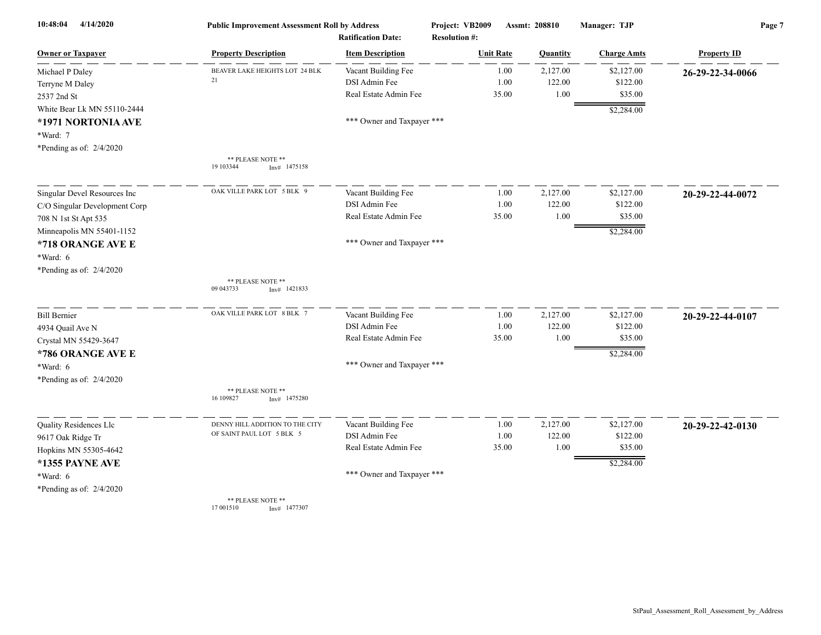| 10:48:04<br>4/14/2020         | <b>Public Improvement Assessment Roll by Address</b> |                                                      | Project: VB2009<br>Assmt: 208810         |          | Manager: TJP       | Page 7             |  |
|-------------------------------|------------------------------------------------------|------------------------------------------------------|------------------------------------------|----------|--------------------|--------------------|--|
| <b>Owner or Taxpayer</b>      | <b>Property Description</b>                          | <b>Ratification Date:</b><br><b>Item Description</b> | <b>Resolution #:</b><br><b>Unit Rate</b> | Quantity | <b>Charge Amts</b> | <b>Property ID</b> |  |
| Michael P Daley               | BEAVER LAKE HEIGHTS LOT 24 BLK                       | Vacant Building Fee                                  | 1.00                                     | 2,127.00 | \$2,127.00         | 26-29-22-34-0066   |  |
| Terryne M Daley               | 21                                                   | DSI Admin Fee                                        | 1.00                                     | 122.00   | \$122.00           |                    |  |
| 2537 2nd St                   |                                                      | Real Estate Admin Fee                                | 35.00                                    | 1.00     | \$35.00            |                    |  |
| White Bear Lk MN 55110-2444   |                                                      |                                                      |                                          |          | \$2,284.00         |                    |  |
| *1971 NORTONIA AVE            |                                                      | *** Owner and Taxpayer ***                           |                                          |          |                    |                    |  |
| *Ward: 7                      |                                                      |                                                      |                                          |          |                    |                    |  |
| *Pending as of: 2/4/2020      |                                                      |                                                      |                                          |          |                    |                    |  |
|                               | ** PLEASE NOTE **<br>19 103344<br>Inv# 1475158       |                                                      |                                          |          |                    |                    |  |
| Singular Devel Resources Inc  | OAK VILLE PARK LOT 5 BLK 9                           | Vacant Building Fee                                  | 1.00                                     | 2,127.00 | \$2,127.00         | 20-29-22-44-0072   |  |
| C/O Singular Development Corp |                                                      | DSI Admin Fee                                        | 1.00                                     | 122.00   | \$122.00           |                    |  |
| 708 N 1st St Apt 535          |                                                      | Real Estate Admin Fee                                | 35.00                                    | 1.00     | \$35.00            |                    |  |
| Minneapolis MN 55401-1152     |                                                      |                                                      |                                          |          | \$2,284.00         |                    |  |
| *718 ORANGE AVE E             |                                                      | *** Owner and Taxpayer ***                           |                                          |          |                    |                    |  |
| *Ward: 6                      |                                                      |                                                      |                                          |          |                    |                    |  |
| *Pending as of: 2/4/2020      |                                                      |                                                      |                                          |          |                    |                    |  |
|                               | ** PLEASE NOTE **                                    |                                                      |                                          |          |                    |                    |  |
|                               | 09 043733<br>$Inv#$ 1421833                          |                                                      |                                          |          |                    |                    |  |
| <b>Bill Bernier</b>           | OAK VILLE PARK LOT 8 BLK 7                           | Vacant Building Fee                                  | 1.00                                     | 2,127.00 | \$2,127.00         | 20-29-22-44-0107   |  |
| 4934 Quail Ave N              |                                                      | DSI Admin Fee                                        | 1.00                                     | 122.00   | \$122.00           |                    |  |
| Crystal MN 55429-3647         |                                                      | Real Estate Admin Fee                                | 35.00                                    | 1.00     | \$35.00            |                    |  |
| *786 ORANGE AVE E             |                                                      |                                                      |                                          |          | \$2,284.00         |                    |  |
| *Ward: 6                      |                                                      | *** Owner and Taxpayer ***                           |                                          |          |                    |                    |  |
| *Pending as of: 2/4/2020      |                                                      |                                                      |                                          |          |                    |                    |  |
|                               | ** PLEASE NOTE **<br>16 109827<br>1475280<br>Inv#    |                                                      |                                          |          |                    |                    |  |
| Quality Residences Llc        | DENNY HILL ADDITION TO THE CITY                      | Vacant Building Fee                                  | 1.00                                     | 2,127.00 | \$2,127.00         | 20-29-22-42-0130   |  |
| 9617 Oak Ridge Tr             | OF SAINT PAUL LOT 5 BLK 5                            | DSI Admin Fee                                        | 1.00                                     | 122.00   | \$122.00           |                    |  |
| Hopkins MN 55305-4642         |                                                      | Real Estate Admin Fee                                | 35.00                                    | 1.00     | \$35.00            |                    |  |
| *1355 PAYNE AVE               |                                                      |                                                      |                                          |          | \$2,284.00         |                    |  |
| *Ward: 6                      |                                                      | *** Owner and Taxpayer ***                           |                                          |          |                    |                    |  |
| *Pending as of: 2/4/2020      |                                                      |                                                      |                                          |          |                    |                    |  |
|                               | <b>** PLEASE NOTE **</b>                             |                                                      |                                          |          |                    |                    |  |

\*\* PLEASE NOTE \*\*<br>17 001510 Inv# 1477307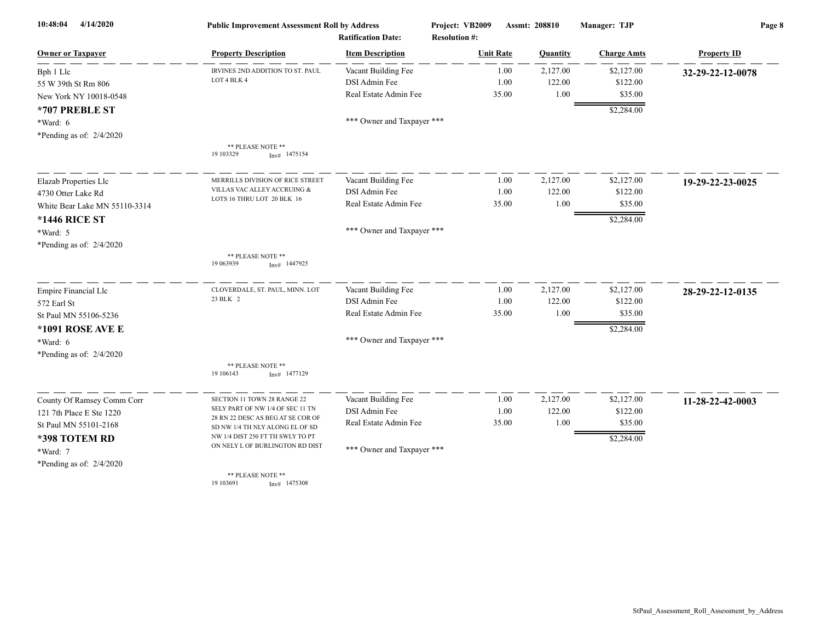| 4/14/2020<br>10:48:04         | <b>Public Improvement Assessment Roll by Address</b>                 |                            | Project: VB2009      | Assmt: 208810 | Manager: TJP       | Page 8             |  |
|-------------------------------|----------------------------------------------------------------------|----------------------------|----------------------|---------------|--------------------|--------------------|--|
|                               | <b>Ratification Date:</b>                                            |                            | <b>Resolution #:</b> |               |                    |                    |  |
| <b>Owner or Taxpayer</b>      | <b>Property Description</b>                                          | <b>Item Description</b>    | <b>Unit Rate</b>     | Quantity      | <b>Charge Amts</b> | <b>Property ID</b> |  |
| Bph 1 Llc                     | IRVINES 2ND ADDITION TO ST. PAUL                                     | Vacant Building Fee        | 1.00                 | 2,127.00      | \$2,127.00         | 32-29-22-12-0078   |  |
| 55 W 39th St Rm 806           | LOT 4 BLK 4                                                          | DSI Admin Fee              | 1.00                 | 122.00        | \$122.00           |                    |  |
| New York NY 10018-0548        |                                                                      | Real Estate Admin Fee      | 35.00                | $1.00\,$      | \$35.00            |                    |  |
| *707 PREBLE ST                |                                                                      |                            |                      |               | \$2,284.00         |                    |  |
| *Ward: 6                      |                                                                      | *** Owner and Taxpayer *** |                      |               |                    |                    |  |
| *Pending as of: 2/4/2020      |                                                                      |                            |                      |               |                    |                    |  |
|                               | ** PLEASE NOTE **<br>19 103329<br>$Inv#$ 1475154                     |                            |                      |               |                    |                    |  |
| Elazab Properties Llc         | MERRILLS DIVISION OF RICE STREET                                     | Vacant Building Fee        | 1.00                 | 2,127.00      | \$2,127.00         | 19-29-22-23-0025   |  |
| 4730 Otter Lake Rd            | VILLAS VAC ALLEY ACCRUING &                                          | DSI Admin Fee              | 1.00                 | 122.00        | \$122.00           |                    |  |
| White Bear Lake MN 55110-3314 | LOTS 16 THRU LOT 20 BLK 16                                           | Real Estate Admin Fee      | 35.00                | 1.00          | \$35.00            |                    |  |
| *1446 RICE ST                 |                                                                      |                            |                      |               | \$2,284.00         |                    |  |
| *Ward: 5                      |                                                                      | *** Owner and Taxpayer *** |                      |               |                    |                    |  |
| *Pending as of: $2/4/2020$    |                                                                      |                            |                      |               |                    |                    |  |
|                               | ** PLEASE NOTE **<br>19 063939<br>$Inv#$ 1447925                     |                            |                      |               |                    |                    |  |
| <b>Empire Financial Llc</b>   | CLOVERDALE, ST. PAUL, MINN. LOT                                      | Vacant Building Fee        | 1.00                 | 2,127.00      | \$2,127.00         | 28-29-22-12-0135   |  |
| 572 Earl St                   | 23 BLK 2                                                             | DSI Admin Fee              | 1.00                 | 122.00        | \$122.00           |                    |  |
| St Paul MN 55106-5236         |                                                                      | Real Estate Admin Fee      | 35.00                | 1.00          | \$35.00            |                    |  |
| *1091 ROSE AVE E              |                                                                      |                            |                      |               | \$2,284.00         |                    |  |
| $*Ward: 6$                    |                                                                      | *** Owner and Taxpayer *** |                      |               |                    |                    |  |
| *Pending as of: 2/4/2020      |                                                                      |                            |                      |               |                    |                    |  |
|                               | ** PLEASE NOTE **<br>19 10 6143<br>Inv# 1477129                      |                            |                      |               |                    |                    |  |
| County Of Ramsey Comm Corr    | SECTION 11 TOWN 28 RANGE 22                                          | Vacant Building Fee        | 1.00                 | 2,127.00      | \$2,127.00         | 11-28-22-42-0003   |  |
| 121 7th Place E Ste 1220      | SELY PART OF NW 1/4 OF SEC 11 TN                                     | DSI Admin Fee              | 1.00                 | 122.00        | \$122.00           |                    |  |
| St Paul MN 55101-2168         | 28 RN 22 DESC AS BEG AT SE COR OF<br>SD NW 1/4 TH NLY ALONG EL OF SD | Real Estate Admin Fee      | 35.00                | 1.00          | \$35.00            |                    |  |
| *398 TOTEM RD                 | NW 1/4 DIST 250 FT TH SWLY TO PT                                     |                            |                      |               | \$2,284.00         |                    |  |
| *Ward: 7                      | ON NELY L OF BURLINGTON RD DIST                                      | *** Owner and Taxpayer *** |                      |               |                    |                    |  |
| *Pending as of: $2/4/2020$    |                                                                      |                            |                      |               |                    |                    |  |
|                               | ** PLEASE NOTE **<br>19 103691<br>$Inv#$ 1475308                     |                            |                      |               |                    |                    |  |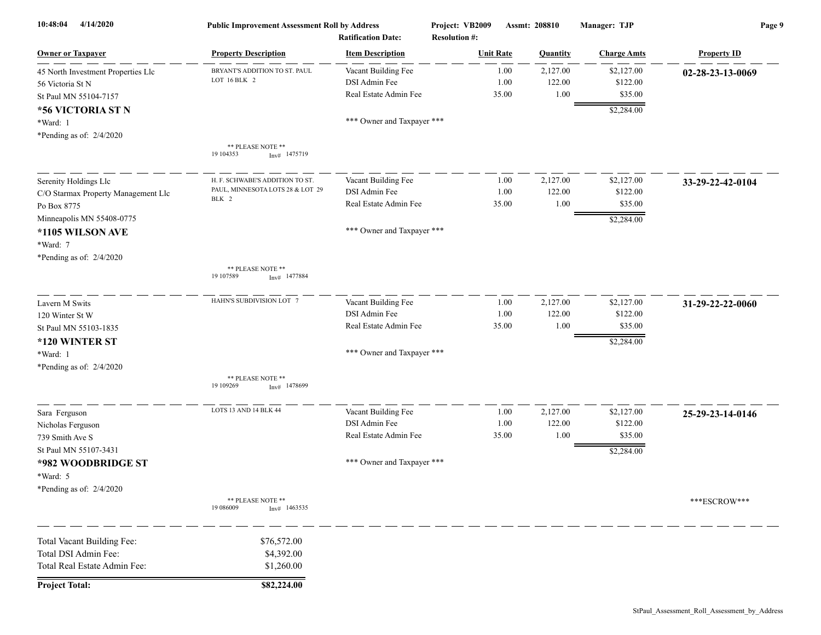| 10:48:04<br>4/14/2020               | <b>Public Improvement Assessment Roll by Address</b><br><b>Ratification Date:</b> |                            | Project: VB2009<br><b>Resolution #:</b> | Assmt: 208810 |          | Manager: TJP       | Page 9             |  |
|-------------------------------------|-----------------------------------------------------------------------------------|----------------------------|-----------------------------------------|---------------|----------|--------------------|--------------------|--|
| <b>Owner or Taxpayer</b>            | <b>Property Description</b>                                                       | <b>Item Description</b>    | <b>Unit Rate</b>                        |               | Quantity | <b>Charge Amts</b> | <b>Property ID</b> |  |
| 45 North Investment Properties Llc  | BRYANT'S ADDITION TO ST. PAUL                                                     | Vacant Building Fee        |                                         | 1.00          | 2,127.00 | \$2,127.00         | 02-28-23-13-0069   |  |
| 56 Victoria St N                    | LOT 16 BLK 2                                                                      | DSI Admin Fee              |                                         | 1.00          | 122.00   | \$122.00           |                    |  |
| St Paul MN 55104-7157               |                                                                                   | Real Estate Admin Fee      |                                         | 35.00         | 1.00     | \$35.00            |                    |  |
| *56 VICTORIA ST N                   |                                                                                   |                            |                                         |               |          | \$2,284.00         |                    |  |
| *Ward: 1                            |                                                                                   | *** Owner and Taxpayer *** |                                         |               |          |                    |                    |  |
| *Pending as of: $2/4/2020$          |                                                                                   |                            |                                         |               |          |                    |                    |  |
|                                     | ** PLEASE NOTE **<br>19 104353<br>Inv# 1475719                                    |                            |                                         |               |          |                    |                    |  |
| Serenity Holdings Llc               | H. F. SCHWABE'S ADDITION TO ST.                                                   | Vacant Building Fee        |                                         | 1.00          | 2,127.00 | \$2,127.00         | 33-29-22-42-0104   |  |
| C/O Starmax Property Management Llc | PAUL, MINNESOTA LOTS 28 & LOT 29                                                  | DSI Admin Fee              |                                         | 1.00          | 122.00   | \$122.00           |                    |  |
| Po Box 8775                         | BLK 2                                                                             | Real Estate Admin Fee      |                                         | 35.00         | 1.00     | \$35.00            |                    |  |
| Minneapolis MN 55408-0775           |                                                                                   |                            |                                         |               |          | \$2,284.00         |                    |  |
| *1105 WILSON AVE                    |                                                                                   | *** Owner and Taxpayer *** |                                         |               |          |                    |                    |  |
| *Ward: 7                            |                                                                                   |                            |                                         |               |          |                    |                    |  |
| *Pending as of: 2/4/2020            |                                                                                   |                            |                                         |               |          |                    |                    |  |
|                                     | ** PLEASE NOTE **<br>19 107589<br>$Inv#$ 1477884                                  |                            |                                         |               |          |                    |                    |  |
| Lavern M Swits                      | HAHN'S SUBDIVISION LOT 7                                                          | Vacant Building Fee        |                                         | 1.00          | 2,127.00 | \$2,127.00         | 31-29-22-22-0060   |  |
| 120 Winter St W                     |                                                                                   | DSI Admin Fee              |                                         | 1.00          | 122.00   | \$122.00           |                    |  |
| St Paul MN 55103-1835               |                                                                                   | Real Estate Admin Fee      |                                         | 35.00         | 1.00     | \$35.00            |                    |  |
| *120 WINTER ST                      |                                                                                   |                            |                                         |               |          | \$2,284.00         |                    |  |
| *Ward: 1                            |                                                                                   | *** Owner and Taxpayer *** |                                         |               |          |                    |                    |  |
| *Pending as of: 2/4/2020            |                                                                                   |                            |                                         |               |          |                    |                    |  |
|                                     | ** PLEASE NOTE **<br>19 109269<br>$Inv#$ 1478699                                  |                            |                                         |               |          |                    |                    |  |
| Sara Ferguson                       | LOTS 13 AND 14 BLK 44                                                             | Vacant Building Fee        |                                         | 1.00          | 2,127.00 | \$2,127.00         | 25-29-23-14-0146   |  |
| Nicholas Ferguson                   |                                                                                   | DSI Admin Fee              |                                         | 1.00          | 122.00   | \$122.00           |                    |  |
| 739 Smith Ave S                     |                                                                                   | Real Estate Admin Fee      |                                         | 35.00         | 1.00     | \$35.00            |                    |  |
| St Paul MN 55107-3431               |                                                                                   |                            |                                         |               |          | \$2,284.00         |                    |  |
| *982 WOODBRIDGE ST                  |                                                                                   | *** Owner and Taxpayer *** |                                         |               |          |                    |                    |  |
| *Ward: 5                            |                                                                                   |                            |                                         |               |          |                    |                    |  |
| *Pending as of: $2/4/2020$          |                                                                                   |                            |                                         |               |          |                    |                    |  |
|                                     | ** PLEASE NOTE **<br>19 08 6009<br>$Inv#$ 1463535                                 |                            |                                         |               |          |                    | ***ESCROW***       |  |
| Total Vacant Building Fee:          | \$76,572.00                                                                       |                            |                                         |               |          |                    |                    |  |
| Total DSI Admin Fee:                | \$4,392.00                                                                        |                            |                                         |               |          |                    |                    |  |
| Total Real Estate Admin Fee:        | \$1,260.00                                                                        |                            |                                         |               |          |                    |                    |  |
| <b>Project Total:</b>               | \$82,224.00                                                                       |                            |                                         |               |          |                    |                    |  |